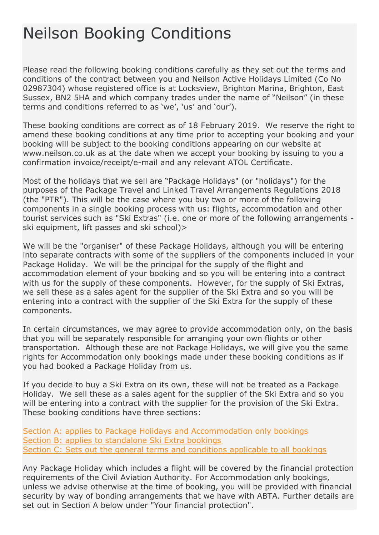# Neilson Booking Conditions

Please read the following booking conditions carefully as they set out the terms and conditions of the contract between you and Neilson Active Holidays Limited (Co No 02987304) whose registered office is at Locksview, Brighton Marina, Brighton, East Sussex, BN2 5HA and which company trades under the name of "Neilson" (in these terms and conditions referred to as 'we', 'us' and 'our').

These booking conditions are correct as of 18 February 2019. We reserve the right to amend these booking conditions at any time prior to accepting your booking and your booking will be subject to the booking conditions appearing on our website at www.neilson.co.uk as at the date when we accept your booking by issuing to you a confirmation invoice/receipt/e-mail and any relevant ATOL Certificate.

Most of the holidays that we sell are "Package Holidays" (or "holidays") for the purposes of the Package Travel and Linked Travel Arrangements Regulations 2018 (the "PTR"). This will be the case where you buy two or more of the following components in a single booking process with us: flights, accommodation and other tourist services such as "Ski Extras" (i.e. one or more of the following arrangements ski equipment, lift passes and ski school)>

We will be the "organiser" of these Package Holidays, although you will be entering into separate contracts with some of the suppliers of the components included in your Package Holiday. We will be the principal for the supply of the flight and accommodation element of your booking and so you will be entering into a contract with us for the supply of these components. However, for the supply of Ski Extras, we sell these as a sales agent for the supplier of the Ski Extra and so you will be entering into a contract with the supplier of the Ski Extra for the supply of these components.

In certain circumstances, we may agree to provide accommodation only, on the basis that you will be separately responsible for arranging your own flights or other transportation. Although these are not Package Holidays, we will give you the same rights for Accommodation only bookings made under these booking conditions as if you had booked a Package Holiday from us.

If you decide to buy a Ski Extra on its own, these will not be treated as a Package Holiday. We sell these as a sales agent for the supplier of the Ski Extra and so you will be entering into a contract with the supplier for the provision of the Ski Extra. These booking conditions have three sections:

[Section A: applies to Package Holidays and Accommodation only bookings](https://www.neilson.co.uk/booking-conditions#package) [Section B: applies to standalone Ski Extra bookings](https://www.neilson.co.uk/booking-conditions#bookings) [Section C: Sets out the general terms and conditions applicable to all bookings](https://www.neilson.co.uk/booking-conditions#changes)

Any Package Holiday which includes a flight will be covered by the financial protection requirements of the Civil Aviation Authority. For Accommodation only bookings, unless we advise otherwise at the time of booking, you will be provided with financial security by way of bonding arrangements that we have with ABTA. Further details are set out in Section A below under "Your financial protection".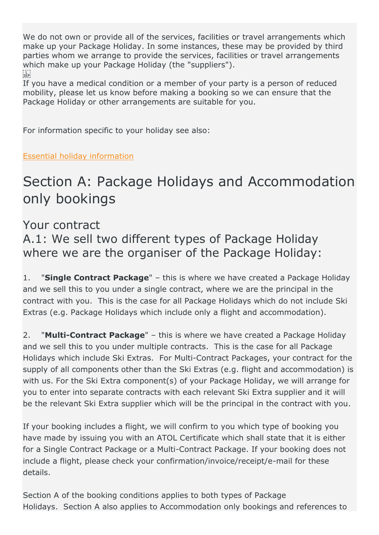We do not own or provide all of the services, facilities or travel arrangements which make up your Package Holiday. In some instances, these may be provided by third parties whom we arrange to provide the services, facilities or travel arrangements which make up your Package Holiday (the "suppliers").  $\sum_{i \in \mathbf{FP}}$ 

If you have a medical condition or a member of your party is a person of reduced mobility, please let us know before making a booking so we can ensure that the Package Holiday or other arrangements are suitable for you.

For information specific to your holiday see also:

[Essential holiday information](https://www.neilson.co.uk/essential-info)

# Section A: Package Holidays and Accommodation only bookings

#### Your contract

A.1: We sell two different types of Package Holiday where we are the organiser of the Package Holiday:

1. "**Single Contract Package**" – this is where we have created a Package Holiday and we sell this to you under a single contract, where we are the principal in the contract with you. This is the case for all Package Holidays which do not include Ski Extras (e.g. Package Holidays which include only a flight and accommodation).

2. "**Multi-Contract Package**" – this is where we have created a Package Holiday and we sell this to you under multiple contracts. This is the case for all Package Holidays which include Ski Extras. For Multi-Contract Packages, your contract for the supply of all components other than the Ski Extras (e.g. flight and accommodation) is with us. For the Ski Extra component(s) of your Package Holiday, we will arrange for you to enter into separate contracts with each relevant Ski Extra supplier and it will be the relevant Ski Extra supplier which will be the principal in the contract with you.

If your booking includes a flight, we will confirm to you which type of booking you have made by issuing you with an ATOL Certificate which shall state that it is either for a Single Contract Package or a Multi-Contract Package. If your booking does not include a flight, please check your confirmation/invoice/receipt/e-mail for these details.

Section A of the booking conditions applies to both types of Package Holidays. Section A also applies to Accommodation only bookings and references to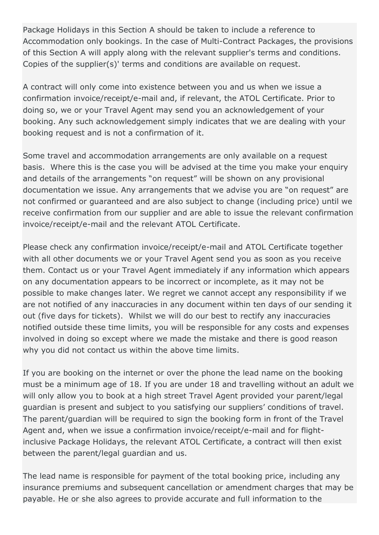Package Holidays in this Section A should be taken to include a reference to Accommodation only bookings. In the case of Multi-Contract Packages, the provisions of this Section A will apply along with the relevant supplier's terms and conditions. Copies of the supplier(s)' terms and conditions are available on request.

A contract will only come into existence between you and us when we issue a confirmation invoice/receipt/e-mail and, if relevant, the ATOL Certificate. Prior to doing so, we or your Travel Agent may send you an acknowledgement of your booking. Any such acknowledgement simply indicates that we are dealing with your booking request and is not a confirmation of it.

Some travel and accommodation arrangements are only available on a request basis. Where this is the case you will be advised at the time you make your enquiry and details of the arrangements "on request" will be shown on any provisional documentation we issue. Any arrangements that we advise you are "on request" are not confirmed or guaranteed and are also subject to change (including price) until we receive confirmation from our supplier and are able to issue the relevant confirmation invoice/receipt/e-mail and the relevant ATOL Certificate.

Please check any confirmation invoice/receipt/e-mail and ATOL Certificate together with all other documents we or your Travel Agent send you as soon as you receive them. Contact us or your Travel Agent immediately if any information which appears on any documentation appears to be incorrect or incomplete, as it may not be possible to make changes later. We regret we cannot accept any responsibility if we are not notified of any inaccuracies in any document within ten days of our sending it out (five days for tickets). Whilst we will do our best to rectify any inaccuracies notified outside these time limits, you will be responsible for any costs and expenses involved in doing so except where we made the mistake and there is good reason why you did not contact us within the above time limits.

If you are booking on the internet or over the phone the lead name on the booking must be a minimum age of 18. If you are under 18 and travelling without an adult we will only allow you to book at a high street Travel Agent provided your parent/legal guardian is present and subject to you satisfying our suppliers' conditions of travel. The parent/guardian will be required to sign the booking form in front of the Travel Agent and, when we issue a confirmation invoice/receipt/e-mail and for flightinclusive Package Holidays, the relevant ATOL Certificate, a contract will then exist between the parent/legal guardian and us.

The lead name is responsible for payment of the total booking price, including any insurance premiums and subsequent cancellation or amendment charges that may be payable. He or she also agrees to provide accurate and full information to the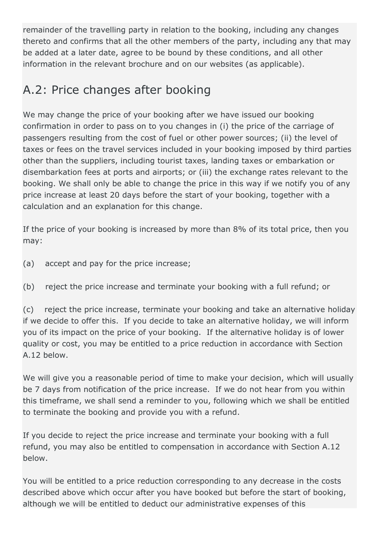remainder of the travelling party in relation to the booking, including any changes thereto and confirms that all the other members of the party, including any that may be added at a later date, agree to be bound by these conditions, and all other information in the relevant brochure and on our websites (as applicable).

# A.2: Price changes after booking

We may change the price of your booking after we have issued our booking confirmation in order to pass on to you changes in (i) the price of the carriage of passengers resulting from the cost of fuel or other power sources; (ii) the level of taxes or fees on the travel services included in your booking imposed by third parties other than the suppliers, including tourist taxes, landing taxes or embarkation or disembarkation fees at ports and airports; or (iii) the exchange rates relevant to the booking. We shall only be able to change the price in this way if we notify you of any price increase at least 20 days before the start of your booking, together with a calculation and an explanation for this change.

If the price of your booking is increased by more than 8% of its total price, then you may:

- (a) accept and pay for the price increase;
- (b) reject the price increase and terminate your booking with a full refund; or

(c) reject the price increase, terminate your booking and take an alternative holiday if we decide to offer this. If you decide to take an alternative holiday, we will inform you of its impact on the price of your booking. If the alternative holiday is of lower quality or cost, you may be entitled to a price reduction in accordance with Section A.12 below.

We will give you a reasonable period of time to make your decision, which will usually be 7 days from notification of the price increase. If we do not hear from you within this timeframe, we shall send a reminder to you, following which we shall be entitled to terminate the booking and provide you with a refund.

If you decide to reject the price increase and terminate your booking with a full refund, you may also be entitled to compensation in accordance with Section A.12 below.

You will be entitled to a price reduction corresponding to any decrease in the costs described above which occur after you have booked but before the start of booking, although we will be entitled to deduct our administrative expenses of this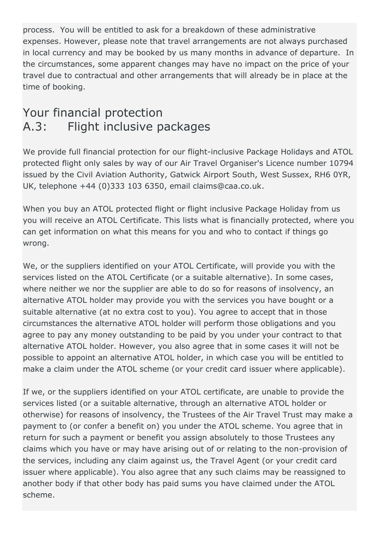process. You will be entitled to ask for a breakdown of these administrative expenses. However, please note that travel arrangements are not always purchased in local currency and may be booked by us many months in advance of departure. In the circumstances, some apparent changes may have no impact on the price of your travel due to contractual and other arrangements that will already be in place at the time of booking.

### Your financial protection A.3: Flight inclusive packages

We provide full financial protection for our flight-inclusive Package Holidays and ATOL protected flight only sales by way of our Air Travel Organiser's Licence number 10794 issued by the Civil Aviation Authority, Gatwick Airport South, West Sussex, RH6 0YR, UK, telephone +44 (0)333 103 6350, email claims@caa.co.uk.

When you buy an ATOL protected flight or flight inclusive Package Holiday from us you will receive an ATOL Certificate. This lists what is financially protected, where you can get information on what this means for you and who to contact if things go wrong.

We, or the suppliers identified on your ATOL Certificate, will provide you with the services listed on the ATOL Certificate (or a suitable alternative). In some cases, where neither we nor the supplier are able to do so for reasons of insolvency, an alternative ATOL holder may provide you with the services you have bought or a suitable alternative (at no extra cost to you). You agree to accept that in those circumstances the alternative ATOL holder will perform those obligations and you agree to pay any money outstanding to be paid by you under your contract to that alternative ATOL holder. However, you also agree that in some cases it will not be possible to appoint an alternative ATOL holder, in which case you will be entitled to make a claim under the ATOL scheme (or your credit card issuer where applicable).

If we, or the suppliers identified on your ATOL certificate, are unable to provide the services listed (or a suitable alternative, through an alternative ATOL holder or otherwise) for reasons of insolvency, the Trustees of the Air Travel Trust may make a payment to (or confer a benefit on) you under the ATOL scheme. You agree that in return for such a payment or benefit you assign absolutely to those Trustees any claims which you have or may have arising out of or relating to the non-provision of the services, including any claim against us, the Travel Agent (or your credit card issuer where applicable). You also agree that any such claims may be reassigned to another body if that other body has paid sums you have claimed under the ATOL scheme.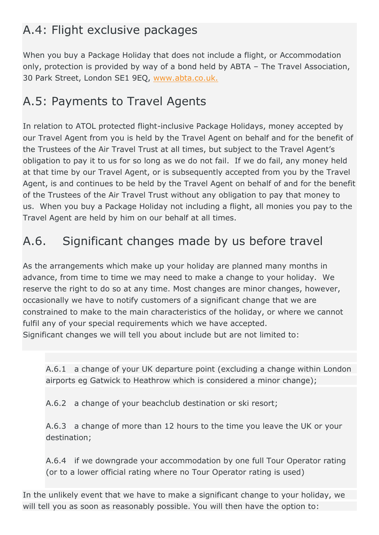# A.4: Flight exclusive packages

When you buy a Package Holiday that does not include a flight, or Accommodation only, protection is provided by way of a bond held by ABTA – The Travel Association, 30 Park Street, London SE1 9EQ, [www.abta.co.uk.](https://www.abta.com/)

### A.5: Payments to Travel Agents

In relation to ATOL protected flight-inclusive Package Holidays, money accepted by our Travel Agent from you is held by the Travel Agent on behalf and for the benefit of the Trustees of the Air Travel Trust at all times, but subject to the Travel Agent's obligation to pay it to us for so long as we do not fail. If we do fail, any money held at that time by our Travel Agent, or is subsequently accepted from you by the Travel Agent, is and continues to be held by the Travel Agent on behalf of and for the benefit of the Trustees of the Air Travel Trust without any obligation to pay that money to us. When you buy a Package Holiday not including a flight, all monies you pay to the Travel Agent are held by him on our behalf at all times.

## A.6. Significant changes made by us before travel

As the arrangements which make up your holiday are planned many months in advance, from time to time we may need to make a change to your holiday. We reserve the right to do so at any time. Most changes are minor changes, however, occasionally we have to notify customers of a significant change that we are constrained to make to the main characteristics of the holiday, or where we cannot fulfil any of your special requirements which we have accepted. Significant changes we will tell you about include but are not limited to:

A.6.1 a change of your UK departure point (excluding a change within London airports eg Gatwick to Heathrow which is considered a minor change);

A.6.2 a change of your beachclub destination or ski resort;

A.6.3 a change of more than 12 hours to the time you leave the UK or your destination;

A.6.4 if we downgrade your accommodation by one full Tour Operator rating (or to a lower official rating where no Tour Operator rating is used)

In the unlikely event that we have to make a significant change to your holiday, we will tell you as soon as reasonably possible. You will then have the option to: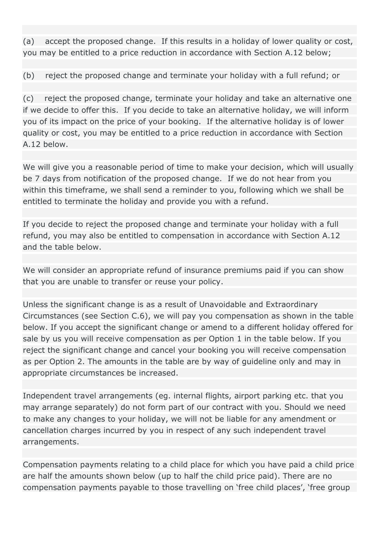(a) accept the proposed change. If this results in a holiday of lower quality or cost, you may be entitled to a price reduction in accordance with Section A.12 below;

(b) reject the proposed change and terminate your holiday with a full refund; or

(c) reject the proposed change, terminate your holiday and take an alternative one if we decide to offer this. If you decide to take an alternative holiday, we will inform you of its impact on the price of your booking. If the alternative holiday is of lower quality or cost, you may be entitled to a price reduction in accordance with Section A.12 below.

We will give you a reasonable period of time to make your decision, which will usually be 7 days from notification of the proposed change. If we do not hear from you within this timeframe, we shall send a reminder to you, following which we shall be entitled to terminate the holiday and provide you with a refund.

If you decide to reject the proposed change and terminate your holiday with a full refund, you may also be entitled to compensation in accordance with Section A.12 and the table below.

We will consider an appropriate refund of insurance premiums paid if you can show that you are unable to transfer or reuse your policy.

Unless the significant change is as a result of Unavoidable and Extraordinary Circumstances (see Section C.6), we will pay you compensation as shown in the table below. If you accept the significant change or amend to a different holiday offered for sale by us you will receive compensation as per Option 1 in the table below. If you reject the significant change and cancel your booking you will receive compensation as per Option 2. The amounts in the table are by way of guideline only and may in appropriate circumstances be increased.

Independent travel arrangements (eg. internal flights, airport parking etc. that you may arrange separately) do not form part of our contract with you. Should we need to make any changes to your holiday, we will not be liable for any amendment or cancellation charges incurred by you in respect of any such independent travel arrangements.

Compensation payments relating to a child place for which you have paid a child price are half the amounts shown below (up to half the child price paid). There are no compensation payments payable to those travelling on 'free child places', 'free group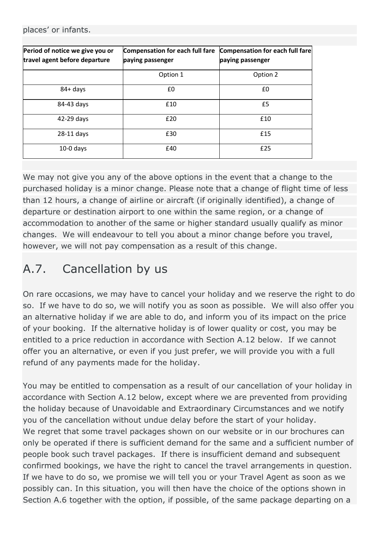places' or infants.

| Period of notice we give you or<br>travel agent before departure | Compensation for each full fare<br>paying passenger | Compensation for each full fare<br>paying passenger |
|------------------------------------------------------------------|-----------------------------------------------------|-----------------------------------------------------|
|                                                                  | Option 1                                            | Option 2                                            |
| $84 + days$                                                      | £0                                                  | £0                                                  |
| 84-43 days                                                       | £10                                                 | £5                                                  |
| 42-29 days                                                       | £20                                                 | £10                                                 |
| 28-11 days                                                       | £30                                                 | £15                                                 |
| $10-0$ days                                                      | £40                                                 | £25                                                 |

We may not give you any of the above options in the event that a change to the purchased holiday is a minor change. Please note that a change of flight time of less than 12 hours, a change of airline or aircraft (if originally identified), a change of departure or destination airport to one within the same region, or a change of accommodation to another of the same or higher standard usually qualify as minor changes. We will endeavour to tell you about a minor change before you travel, however, we will not pay compensation as a result of this change.

# A.7. Cancellation by us

On rare occasions, we may have to cancel your holiday and we reserve the right to do so. If we have to do so, we will notify you as soon as possible. We will also offer you an alternative holiday if we are able to do, and inform you of its impact on the price of your booking. If the alternative holiday is of lower quality or cost, you may be entitled to a price reduction in accordance with Section A.12 below. If we cannot offer you an alternative, or even if you just prefer, we will provide you with a full refund of any payments made for the holiday.

You may be entitled to compensation as a result of our cancellation of your holiday in accordance with Section A.12 below, except where we are prevented from providing the holiday because of Unavoidable and Extraordinary Circumstances and we notify you of the cancellation without undue delay before the start of your holiday. We regret that some travel packages shown on our website or in our brochures can only be operated if there is sufficient demand for the same and a sufficient number of people book such travel packages. If there is insufficient demand and subsequent confirmed bookings, we have the right to cancel the travel arrangements in question. If we have to do so, we promise we will tell you or your Travel Agent as soon as we possibly can. In this situation, you will then have the choice of the options shown in Section A.6 together with the option, if possible, of the same package departing on a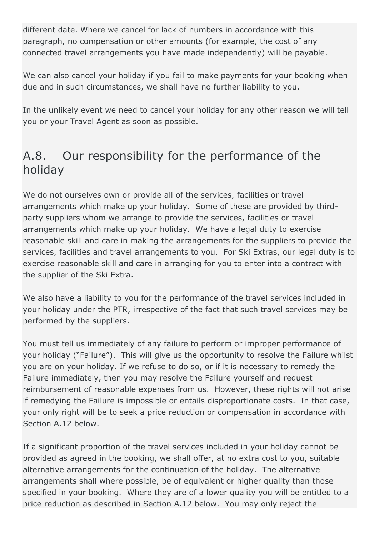different date. Where we cancel for lack of numbers in accordance with this paragraph, no compensation or other amounts (for example, the cost of any connected travel arrangements you have made independently) will be payable.

We can also cancel your holiday if you fail to make payments for your booking when due and in such circumstances, we shall have no further liability to you.

In the unlikely event we need to cancel your holiday for any other reason we will tell you or your Travel Agent as soon as possible.

### A.8. Our responsibility for the performance of the holiday

We do not ourselves own or provide all of the services, facilities or travel arrangements which make up your holiday. Some of these are provided by thirdparty suppliers whom we arrange to provide the services, facilities or travel arrangements which make up your holiday. We have a legal duty to exercise reasonable skill and care in making the arrangements for the suppliers to provide the services, facilities and travel arrangements to you. For Ski Extras, our legal duty is to exercise reasonable skill and care in arranging for you to enter into a contract with the supplier of the Ski Extra.

We also have a liability to you for the performance of the travel services included in your holiday under the PTR, irrespective of the fact that such travel services may be performed by the suppliers.

You must tell us immediately of any failure to perform or improper performance of your holiday ("Failure"). This will give us the opportunity to resolve the Failure whilst you are on your holiday. If we refuse to do so, or if it is necessary to remedy the Failure immediately, then you may resolve the Failure yourself and request reimbursement of reasonable expenses from us. However, these rights will not arise if remedying the Failure is impossible or entails disproportionate costs. In that case, your only right will be to seek a price reduction or compensation in accordance with Section A.12 below.

If a significant proportion of the travel services included in your holiday cannot be provided as agreed in the booking, we shall offer, at no extra cost to you, suitable alternative arrangements for the continuation of the holiday. The alternative arrangements shall where possible, be of equivalent or higher quality than those specified in your booking. Where they are of a lower quality you will be entitled to a price reduction as described in Section A.12 below. You may only reject the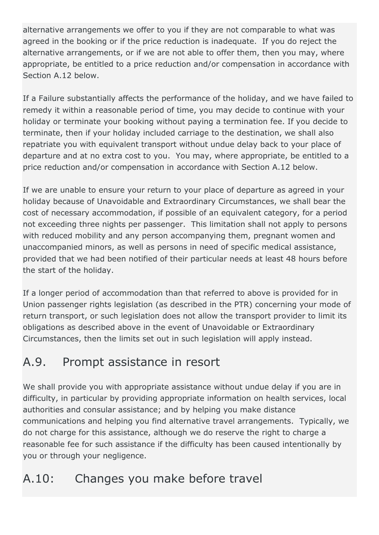alternative arrangements we offer to you if they are not comparable to what was agreed in the booking or if the price reduction is inadequate. If you do reject the alternative arrangements, or if we are not able to offer them, then you may, where appropriate, be entitled to a price reduction and/or compensation in accordance with Section A.12 below.

If a Failure substantially affects the performance of the holiday, and we have failed to remedy it within a reasonable period of time, you may decide to continue with your holiday or terminate your booking without paying a termination fee. If you decide to terminate, then if your holiday included carriage to the destination, we shall also repatriate you with equivalent transport without undue delay back to your place of departure and at no extra cost to you. You may, where appropriate, be entitled to a price reduction and/or compensation in accordance with Section A.12 below.

If we are unable to ensure your return to your place of departure as agreed in your holiday because of Unavoidable and Extraordinary Circumstances, we shall bear the cost of necessary accommodation, if possible of an equivalent category, for a period not exceeding three nights per passenger. This limitation shall not apply to persons with reduced mobility and any person accompanying them, pregnant women and unaccompanied minors, as well as persons in need of specific medical assistance, provided that we had been notified of their particular needs at least 48 hours before the start of the holiday.

If a longer period of accommodation than that referred to above is provided for in Union passenger rights legislation (as described in the PTR) concerning your mode of return transport, or such legislation does not allow the transport provider to limit its obligations as described above in the event of Unavoidable or Extraordinary Circumstances, then the limits set out in such legislation will apply instead.

# A.9. Prompt assistance in resort

We shall provide you with appropriate assistance without undue delay if you are in difficulty, in particular by providing appropriate information on health services, local authorities and consular assistance; and by helping you make distance communications and helping you find alternative travel arrangements. Typically, we do not charge for this assistance, although we do reserve the right to charge a reasonable fee for such assistance if the difficulty has been caused intentionally by you or through your negligence.

# A.10: Changes you make before travel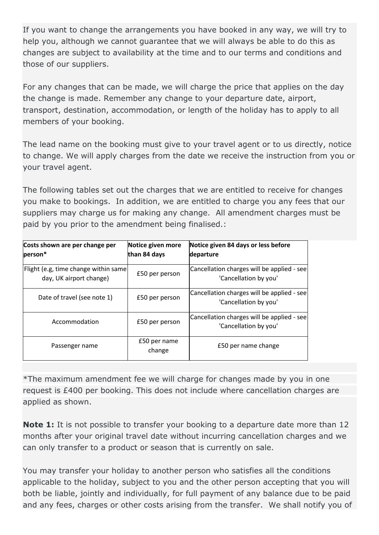If you want to change the arrangements you have booked in any way, we will try to help you, although we cannot guarantee that we will always be able to do this as changes are subject to availability at the time and to our terms and conditions and those of our suppliers.

For any changes that can be made, we will charge the price that applies on the day the change is made. Remember any change to your departure date, airport, transport, destination, accommodation, or length of the holiday has to apply to all members of your booking.

The lead name on the booking must give to your travel agent or to us directly, notice to change. We will apply charges from the date we receive the instruction from you or your travel agent.

The following tables set out the charges that we are entitled to receive for changes you make to bookings. In addition, we are entitled to charge you any fees that our suppliers may charge us for making any change. All amendment charges must be paid by you prior to the amendment being finalised.:

| Costs shown are per change per<br>person*                        | Notice given more<br>than 84 days | Notice given 84 days or less before<br>departure                    |
|------------------------------------------------------------------|-----------------------------------|---------------------------------------------------------------------|
| Flight (e.g, time change within same)<br>day, UK airport change) | £50 per person                    | Cancellation charges will be applied - see<br>'Cancellation by you' |
| Date of travel (see note 1)                                      | £50 per person                    | Cancellation charges will be applied - see<br>'Cancellation by you' |
| Accommodation                                                    | £50 per person                    | Cancellation charges will be applied - see<br>'Cancellation by you' |
| Passenger name                                                   | £50 per name<br>change            | £50 per name change                                                 |

\*The maximum amendment fee we will charge for changes made by you in one request is £400 per booking. This does not include where cancellation charges are applied as shown.

**Note 1:** It is not possible to transfer your booking to a departure date more than 12 months after your original travel date without incurring cancellation charges and we can only transfer to a product or season that is currently on sale.

You may transfer your holiday to another person who satisfies all the conditions applicable to the holiday, subject to you and the other person accepting that you will both be liable, jointly and individually, for full payment of any balance due to be paid and any fees, charges or other costs arising from the transfer. We shall notify you of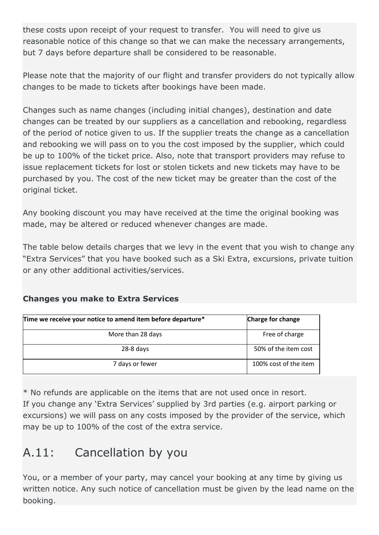these costs upon receipt of your request to transfer. You will need to give us reasonable notice of this change so that we can make the necessary arrangements, but 7 days before departure shall be considered to be reasonable.

Please note that the majority of our flight and transfer providers do not typically allow changes to be made to tickets after bookings have been made.

Changes such as name changes (including initial changes), destination and date changes can be treated by our suppliers as a cancellation and rebooking, regardless of the period of notice given to us. If the supplier treats the change as a cancellation and rebooking we will pass on to you the cost imposed by the supplier, which could be up to 100% of the ticket price. Also, note that transport providers may refuse to issue replacement tickets for lost or stolen tickets and new tickets may have to be purchased by you. The cost of the new ticket may be greater than the cost of the original ticket.

Any booking discount you may have received at the time the original booking was made, may be altered or reduced whenever changes are made.

The table below details charges that we levy in the event that you wish to change any "Extra Services" that you have booked such as a Ski Extra, excursions, private tuition or any other additional activities/services.

#### **Changes you make to Extra Services**

| Time we receive your notice to amend item before departure* | Charge for change     |
|-------------------------------------------------------------|-----------------------|
| More than 28 days                                           | Free of charge        |
| $28-8$ days                                                 | 50% of the item cost  |
| 7 days or fewer                                             | 100% cost of the item |

\* No refunds are applicable on the items that are not used once in resort. If you change any 'Extra Services' supplied by 3rd parties (e.g. airport parking or excursions) we will pass on any costs imposed by the provider of the service, which may be up to 100% of the cost of the extra service.

### A.11: Cancellation by you

You, or a member of your party, may cancel your booking at any time by giving us written notice. Any such notice of cancellation must be given by the lead name on the booking.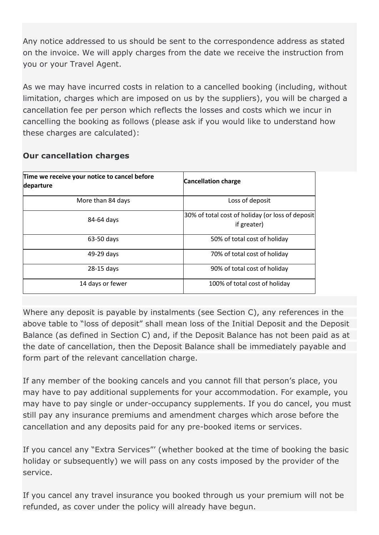Any notice addressed to us should be sent to the correspondence address as stated on the invoice. We will apply charges from the date we receive the instruction from you or your Travel Agent.

As we may have incurred costs in relation to a cancelled booking (including, without limitation, charges which are imposed on us by the suppliers), you will be charged a cancellation fee per person which reflects the losses and costs which we incur in cancelling the booking as follows (please ask if you would like to understand how these charges are calculated):

#### **Our cancellation charges**

| Time we receive your notice to cancel before<br>departure | <b>Cancellation charge</b>                                      |  |
|-----------------------------------------------------------|-----------------------------------------------------------------|--|
| More than 84 days                                         | Loss of deposit                                                 |  |
| 84-64 days                                                | 30% of total cost of holiday (or loss of deposit<br>if greater) |  |
| 63-50 days                                                | 50% of total cost of holiday                                    |  |
| 49-29 days                                                | 70% of total cost of holiday                                    |  |
| 28-15 days                                                | 90% of total cost of holiday                                    |  |
| 14 days or fewer                                          | 100% of total cost of holiday                                   |  |

Where any deposit is payable by instalments (see Section C), any references in the above table to "loss of deposit" shall mean loss of the Initial Deposit and the Deposit Balance (as defined in Section C) and, if the Deposit Balance has not been paid as at the date of cancellation, then the Deposit Balance shall be immediately payable and form part of the relevant cancellation charge.

If any member of the booking cancels and you cannot fill that person's place, you may have to pay additional supplements for your accommodation. For example, you may have to pay single or under-occupancy supplements. If you do cancel, you must still pay any insurance premiums and amendment charges which arose before the cancellation and any deposits paid for any pre-booked items or services.

If you cancel any "Extra Services"' (whether booked at the time of booking the basic holiday or subsequently) we will pass on any costs imposed by the provider of the service.

If you cancel any travel insurance you booked through us your premium will not be refunded, as cover under the policy will already have begun.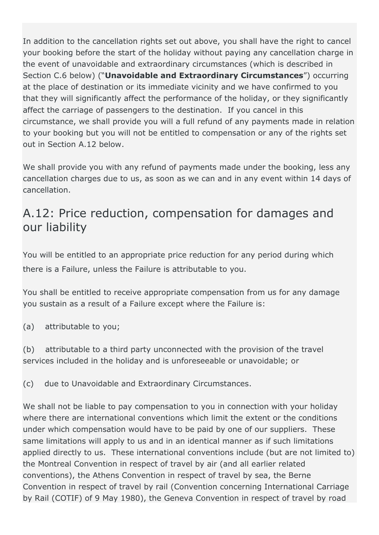In addition to the cancellation rights set out above, you shall have the right to cancel your booking before the start of the holiday without paying any cancellation charge in the event of unavoidable and extraordinary circumstances (which is described in Section C.6 below) ("**Unavoidable and Extraordinary Circumstances**") occurring at the place of destination or its immediate vicinity and we have confirmed to you that they will significantly affect the performance of the holiday, or they significantly affect the carriage of passengers to the destination. If you cancel in this circumstance, we shall provide you will a full refund of any payments made in relation to your booking but you will not be entitled to compensation or any of the rights set out in Section A.12 below.

We shall provide you with any refund of payments made under the booking, less any cancellation charges due to us, as soon as we can and in any event within 14 days of cancellation.

### A.12: Price reduction, compensation for damages and our liability

You will be entitled to an appropriate price reduction for any period during which there is a Failure, unless the Failure is attributable to you.

You shall be entitled to receive appropriate compensation from us for any damage you sustain as a result of a Failure except where the Failure is:

(a) attributable to you;

(b) attributable to a third party unconnected with the provision of the travel services included in the holiday and is unforeseeable or unavoidable; or

(c) due to Unavoidable and Extraordinary Circumstances.

We shall not be liable to pay compensation to you in connection with your holiday where there are international conventions which limit the extent or the conditions under which compensation would have to be paid by one of our suppliers. These same limitations will apply to us and in an identical manner as if such limitations applied directly to us. These international conventions include (but are not limited to) the Montreal Convention in respect of travel by air (and all earlier related conventions), the Athens Convention in respect of travel by sea, the Berne Convention in respect of travel by rail (Convention concerning International Carriage by Rail (COTIF) of 9 May 1980), the Geneva Convention in respect of travel by road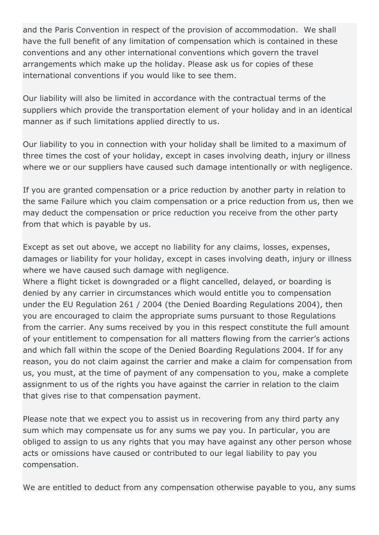and the Paris Convention in respect of the provision of accommodation. We shall have the full benefit of any limitation of compensation which is contained in these conventions and any other international conventions which govern the travel arrangements which make up the holiday. Please ask us for copies of these international conventions if you would like to see them.

Our liability will also be limited in accordance with the contractual terms of the suppliers which provide the transportation element of your holiday and in an identical manner as if such limitations applied directly to us.

Our liability to you in connection with your holiday shall be limited to a maximum of three times the cost of your holiday, except in cases involving death, injury or illness where we or our suppliers have caused such damage intentionally or with negligence.

If you are granted compensation or a price reduction by another party in relation to the same Failure which you claim compensation or a price reduction from us, then we may deduct the compensation or price reduction you receive from the other party from that which is payable by us.

Except as set out above, we accept no liability for any claims, losses, expenses, damages or liability for your holiday, except in cases involving death, injury or illness where we have caused such damage with negligence.

Where a flight ticket is downgraded or a flight cancelled, delayed, or boarding is denied by any carrier in circumstances which would entitle you to compensation under the EU Regulation 261 / 2004 (the Denied Boarding Regulations 2004), then you are encouraged to claim the appropriate sums pursuant to those Regulations from the carrier. Any sums received by you in this respect constitute the full amount of your entitlement to compensation for all matters flowing from the carrier's actions and which fall within the scope of the Denied Boarding Regulations 2004. If for any reason, you do not claim against the carrier and make a claim for compensation from us, you must, at the time of payment of any compensation to you, make a complete assignment to us of the rights you have against the carrier in relation to the claim that gives rise to that compensation payment.

Please note that we expect you to assist us in recovering from any third party any sum which may compensate us for any sums we pay you. In particular, you are obliged to assign to us any rights that you may have against any other person whose acts or omissions have caused or contributed to our legal liability to pay you compensation.

We are entitled to deduct from any compensation otherwise payable to you, any sums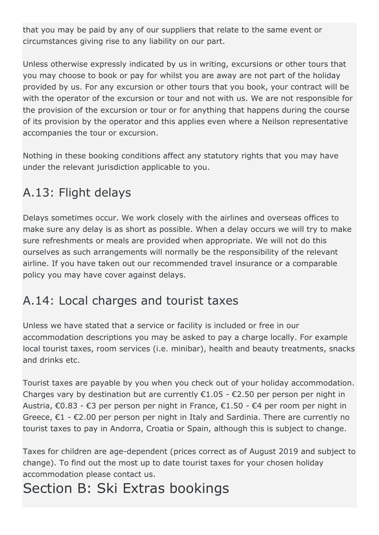that you may be paid by any of our suppliers that relate to the same event or circumstances giving rise to any liability on our part.

Unless otherwise expressly indicated by us in writing, excursions or other tours that you may choose to book or pay for whilst you are away are not part of the holiday provided by us. For any excursion or other tours that you book, your contract will be with the operator of the excursion or tour and not with us. We are not responsible for the provision of the excursion or tour or for anything that happens during the course of its provision by the operator and this applies even where a Neilson representative accompanies the tour or excursion.

Nothing in these booking conditions affect any statutory rights that you may have under the relevant jurisdiction applicable to you.

# A.13: Flight delays

Delays sometimes occur. We work closely with the airlines and overseas offices to make sure any delay is as short as possible. When a delay occurs we will try to make sure refreshments or meals are provided when appropriate. We will not do this ourselves as such arrangements will normally be the responsibility of the relevant airline. If you have taken out our recommended travel insurance or a comparable policy you may have cover against delays.

# A.14: Local charges and tourist taxes

Unless we have stated that a service or facility is included or free in our accommodation descriptions you may be asked to pay a charge locally. For example local tourist taxes, room services (i.e. minibar), health and beauty treatments, snacks and drinks etc.

Tourist taxes are payable by you when you check out of your holiday accommodation. Charges vary by destination but are currently  $\epsilon$ 1.05 -  $\epsilon$ 2.50 per person per night in Austria, €0.83 - €3 per person per night in France, €1.50 - €4 per room per night in Greece,  $\epsilon$ 1 -  $\epsilon$ 2.00 per person per night in Italy and Sardinia. There are currently no tourist taxes to pay in Andorra, Croatia or Spain, although this is subject to change.

Taxes for children are age-dependent (prices correct as of August 2019 and subject to change). To find out the most up to date tourist taxes for your chosen holiday accommodation please contact us.

# Section B: Ski Extras bookings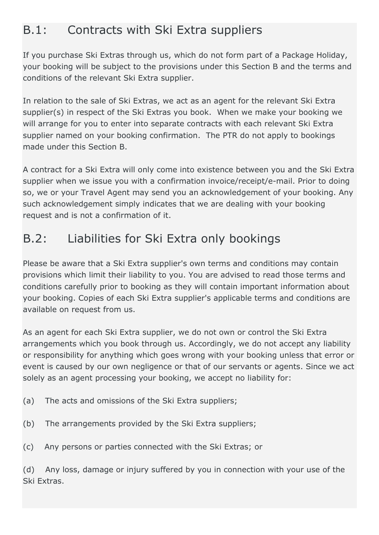### B.1: Contracts with Ski Extra suppliers

If you purchase Ski Extras through us, which do not form part of a Package Holiday, your booking will be subject to the provisions under this Section B and the terms and conditions of the relevant Ski Extra supplier.

In relation to the sale of Ski Extras, we act as an agent for the relevant Ski Extra supplier(s) in respect of the Ski Extras you book. When we make your booking we will arrange for you to enter into separate contracts with each relevant Ski Extra supplier named on your booking confirmation. The PTR do not apply to bookings made under this Section B.

A contract for a Ski Extra will only come into existence between you and the Ski Extra supplier when we issue you with a confirmation invoice/receipt/e-mail. Prior to doing so, we or your Travel Agent may send you an acknowledgement of your booking. Any such acknowledgement simply indicates that we are dealing with your booking request and is not a confirmation of it.

### B.2: Liabilities for Ski Extra only bookings

Please be aware that a Ski Extra supplier's own terms and conditions may contain provisions which limit their liability to you. You are advised to read those terms and conditions carefully prior to booking as they will contain important information about your booking. Copies of each Ski Extra supplier's applicable terms and conditions are available on request from us.

As an agent for each Ski Extra supplier, we do not own or control the Ski Extra arrangements which you book through us. Accordingly, we do not accept any liability or responsibility for anything which goes wrong with your booking unless that error or event is caused by our own negligence or that of our servants or agents. Since we act solely as an agent processing your booking, we accept no liability for:

- (a) The acts and omissions of the Ski Extra suppliers;
- (b) The arrangements provided by the Ski Extra suppliers;
- (c) Any persons or parties connected with the Ski Extras; or

(d) Any loss, damage or injury suffered by you in connection with your use of the Ski Extras.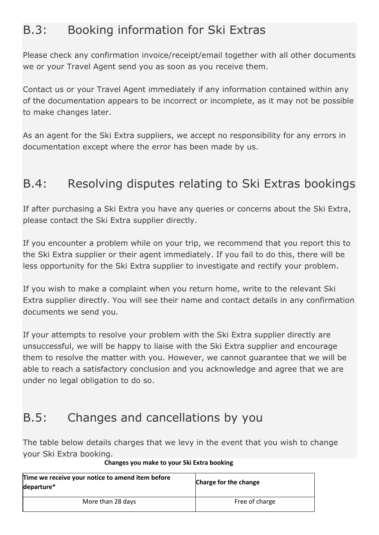### B.3: Booking information for Ski Extras

Please check any confirmation invoice/receipt/email together with all other documents we or your Travel Agent send you as soon as you receive them.

Contact us or your Travel Agent immediately if any information contained within any of the documentation appears to be incorrect or incomplete, as it may not be possible to make changes later.

As an agent for the Ski Extra suppliers, we accept no responsibility for any errors in documentation except where the error has been made by us.

## B.4: Resolving disputes relating to Ski Extras bookings

If after purchasing a Ski Extra you have any queries or concerns about the Ski Extra, please contact the Ski Extra supplier directly.

If you encounter a problem while on your trip, we recommend that you report this to the Ski Extra supplier or their agent immediately. If you fail to do this, there will be less opportunity for the Ski Extra supplier to investigate and rectify your problem.

If you wish to make a complaint when you return home, write to the relevant Ski Extra supplier directly. You will see their name and contact details in any confirmation documents we send you.

If your attempts to resolve your problem with the Ski Extra supplier directly are unsuccessful, we will be happy to liaise with the Ski Extra supplier and encourage them to resolve the matter with you. However, we cannot guarantee that we will be able to reach a satisfactory conclusion and you acknowledge and agree that we are under no legal obligation to do so.

### B.5: Changes and cancellations by you

The table below details charges that we levy in the event that you wish to change your Ski Extra booking.

| Time we receive your notice to amend item before<br>departure* | Charge for the change |
|----------------------------------------------------------------|-----------------------|
| More than 28 days                                              | Free of charge        |

#### **Changes you make to your Ski Extra booking**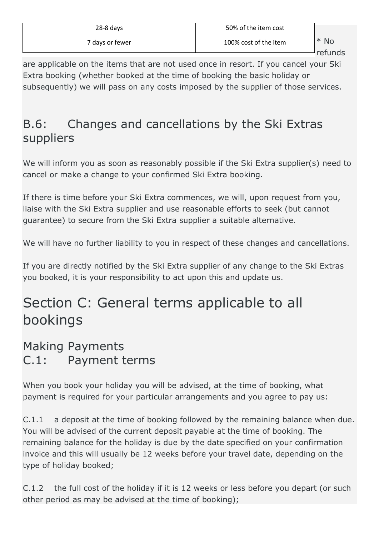| $28-8$ days     | 50% of the item cost  |                           |
|-----------------|-----------------------|---------------------------|
| 7 days or fewer | 100% cost of the item | <b>No</b><br>∗<br>rofunde |

refunds

are applicable on the items that are not used once in resort. If you cancel your Ski Extra booking (whether booked at the time of booking the basic holiday or subsequently) we will pass on any costs imposed by the supplier of those services.

### B.6: Changes and cancellations by the Ski Extras suppliers

We will inform you as soon as reasonably possible if the Ski Extra supplier(s) need to cancel or make a change to your confirmed Ski Extra booking.

If there is time before your Ski Extra commences, we will, upon request from you, liaise with the Ski Extra supplier and use reasonable efforts to seek (but cannot guarantee) to secure from the Ski Extra supplier a suitable alternative.

We will have no further liability to you in respect of these changes and cancellations.

If you are directly notified by the Ski Extra supplier of any change to the Ski Extras you booked, it is your responsibility to act upon this and update us.

# Section C: General terms applicable to all bookings

### Making Payments C.1: Payment terms

When you book your holiday you will be advised, at the time of booking, what payment is required for your particular arrangements and you agree to pay us:

C.1.1 a deposit at the time of booking followed by the remaining balance when due. You will be advised of the current deposit payable at the time of booking. The remaining balance for the holiday is due by the date specified on your confirmation invoice and this will usually be 12 weeks before your travel date, depending on the type of holiday booked;

C.1.2 the full cost of the holiday if it is 12 weeks or less before you depart (or such other period as may be advised at the time of booking);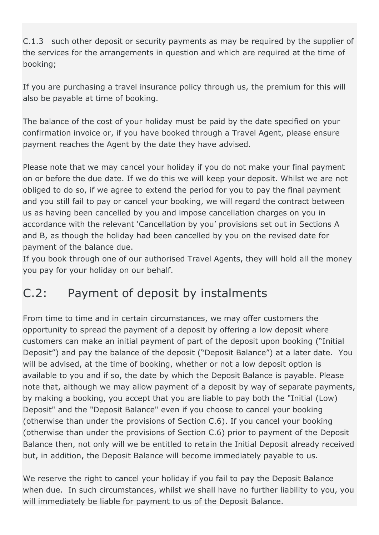C.1.3 such other deposit or security payments as may be required by the supplier of the services for the arrangements in question and which are required at the time of booking;

If you are purchasing a travel insurance policy through us, the premium for this will also be payable at time of booking.

The balance of the cost of your holiday must be paid by the date specified on your confirmation invoice or, if you have booked through a Travel Agent, please ensure payment reaches the Agent by the date they have advised.

Please note that we may cancel your holiday if you do not make your final payment on or before the due date. If we do this we will keep your deposit. Whilst we are not obliged to do so, if we agree to extend the period for you to pay the final payment and you still fail to pay or cancel your booking, we will regard the contract between us as having been cancelled by you and impose cancellation charges on you in accordance with the relevant 'Cancellation by you' provisions set out in Sections A and B, as though the holiday had been cancelled by you on the revised date for payment of the balance due.

If you book through one of our authorised Travel Agents, they will hold all the money you pay for your holiday on our behalf.

### C.2: Payment of deposit by instalments

From time to time and in certain circumstances, we may offer customers the opportunity to spread the payment of a deposit by offering a low deposit where customers can make an initial payment of part of the deposit upon booking ("Initial Deposit") and pay the balance of the deposit ("Deposit Balance") at a later date. You will be advised, at the time of booking, whether or not a low deposit option is available to you and if so, the date by which the Deposit Balance is payable. Please note that, although we may allow payment of a deposit by way of separate payments, by making a booking, you accept that you are liable to pay both the "Initial (Low) Deposit" and the "Deposit Balance" even if you choose to cancel your booking (otherwise than under the provisions of Section C.6). If you cancel your booking (otherwise than under the provisions of Section C.6) prior to payment of the Deposit Balance then, not only will we be entitled to retain the Initial Deposit already received but, in addition, the Deposit Balance will become immediately payable to us.

We reserve the right to cancel your holiday if you fail to pay the Deposit Balance when due. In such circumstances, whilst we shall have no further liability to you, you will immediately be liable for payment to us of the Deposit Balance.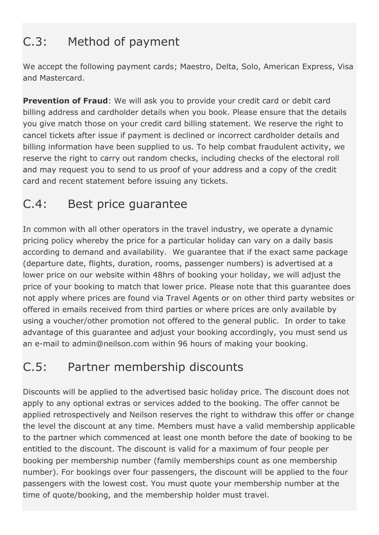# C.3: Method of payment

We accept the following payment cards; Maestro, Delta, Solo, American Express, Visa and Mastercard.

**Prevention of Fraud:** We will ask you to provide your credit card or debit card billing address and cardholder details when you book. Please ensure that the details you give match those on your credit card billing statement. We reserve the right to cancel tickets after issue if payment is declined or incorrect cardholder details and billing information have been supplied to us. To help combat fraudulent activity, we reserve the right to carry out random checks, including checks of the electoral roll and may request you to send to us proof of your address and a copy of the credit card and recent statement before issuing any tickets.

# C.4: Best price guarantee

In common with all other operators in the travel industry, we operate a dynamic pricing policy whereby the price for a particular holiday can vary on a daily basis according to demand and availability. We guarantee that if the exact same package (departure date, flights, duration, rooms, passenger numbers) is advertised at a lower price on our website within 48hrs of booking your holiday, we will adjust the price of your booking to match that lower price. Please note that this guarantee does not apply where prices are found via Travel Agents or on other third party websites or offered in emails received from third parties or where prices are only available by using a voucher/other promotion not offered to the general public. In order to take advantage of this guarantee and adjust your booking accordingly, you must send us an e-mail to admin@neilson.com within 96 hours of making your booking.

### C.5: Partner membership discounts

Discounts will be applied to the advertised basic holiday price. The discount does not apply to any optional extras or services added to the booking. The offer cannot be applied retrospectively and Neilson reserves the right to withdraw this offer or change the level the discount at any time. Members must have a valid membership applicable to the partner which commenced at least one month before the date of booking to be entitled to the discount. The discount is valid for a maximum of four people per booking per membership number (family memberships count as one membership number). For bookings over four passengers, the discount will be applied to the four passengers with the lowest cost. You must quote your membership number at the time of quote/booking, and the membership holder must travel.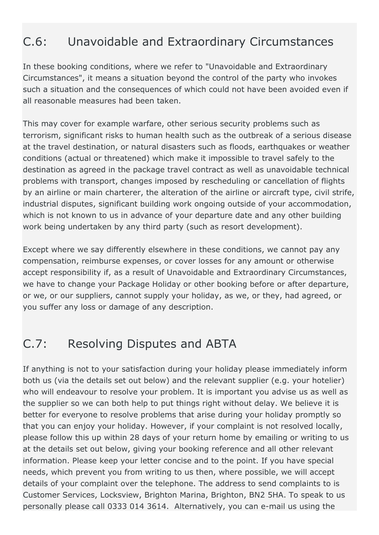# C.6: Unavoidable and Extraordinary Circumstances

In these booking conditions, where we refer to "Unavoidable and Extraordinary Circumstances", it means a situation beyond the control of the party who invokes such a situation and the consequences of which could not have been avoided even if all reasonable measures had been taken.

This may cover for example warfare, other serious security problems such as terrorism, significant risks to human health such as the outbreak of a serious disease at the travel destination, or natural disasters such as floods, earthquakes or weather conditions (actual or threatened) which make it impossible to travel safely to the destination as agreed in the package travel contract as well as unavoidable technical problems with transport, changes imposed by rescheduling or cancellation of flights by an airline or main charterer, the alteration of the airline or aircraft type, civil strife, industrial disputes, significant building work ongoing outside of your accommodation, which is not known to us in advance of your departure date and any other building work being undertaken by any third party (such as resort development).

Except where we say differently elsewhere in these conditions, we cannot pay any compensation, reimburse expenses, or cover losses for any amount or otherwise accept responsibility if, as a result of Unavoidable and Extraordinary Circumstances, we have to change your Package Holiday or other booking before or after departure, or we, or our suppliers, cannot supply your holiday, as we, or they, had agreed, or you suffer any loss or damage of any description.

### C.7: Resolving Disputes and ABTA

If anything is not to your satisfaction during your holiday please immediately inform both us (via the details set out below) and the relevant supplier (e.g. your hotelier) who will endeavour to resolve your problem. It is important you advise us as well as the supplier so we can both help to put things right without delay. We believe it is better for everyone to resolve problems that arise during your holiday promptly so that you can enjoy your holiday. However, if your complaint is not resolved locally, please follow this up within 28 days of your return home by emailing or writing to us at the details set out below, giving your booking reference and all other relevant information. Please keep your letter concise and to the point. If you have special needs, which prevent you from writing to us then, where possible, we will accept details of your complaint over the telephone. The address to send complaints to is Customer Services, Locksview, Brighton Marina, Brighton, BN2 5HA. To speak to us personally please call 0333 014 3614. Alternatively, you can e-mail us using the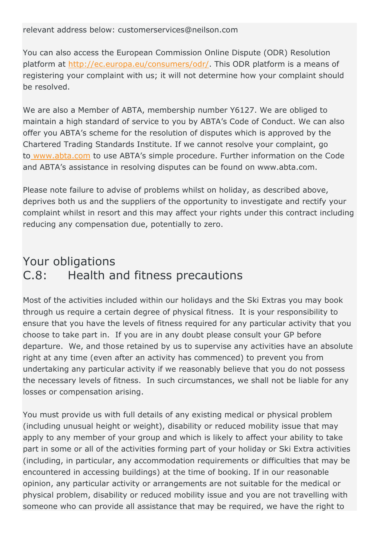relevant address below: customerservices@neilson.com

You can also access the European Commission Online Dispute (ODR) Resolution platform at [http://ec.europa.eu/consumers/odr/.](https://ec.europa.eu/consumers/odr/main/index.cfm?event=main.home.chooseLanguage) This ODR platform is a means of registering your complaint with us; it will not determine how your complaint should be resolved.

We are also a Member of ABTA, membership number Y6127. We are obliged to maintain a high standard of service to you by ABTA's Code of Conduct. We can also offer you ABTA's scheme for the resolution of disputes which is approved by the Chartered Trading Standards Institute. If we cannot resolve your complaint, go to [www.abta.com](https://www.abta.com/) to use ABTA's simple procedure. Further information on the Code and ABTA's assistance in resolving disputes can be found on www.abta.com.

Please note failure to advise of problems whilst on holiday, as described above, deprives both us and the suppliers of the opportunity to investigate and rectify your complaint whilst in resort and this may affect your rights under this contract including reducing any compensation due, potentially to zero.

# Your obligations C.8: Health and fitness precautions

Most of the activities included within our holidays and the Ski Extras you may book through us require a certain degree of physical fitness. It is your responsibility to ensure that you have the levels of fitness required for any particular activity that you choose to take part in. If you are in any doubt please consult your GP before departure. We, and those retained by us to supervise any activities have an absolute right at any time (even after an activity has commenced) to prevent you from undertaking any particular activity if we reasonably believe that you do not possess the necessary levels of fitness. In such circumstances, we shall not be liable for any losses or compensation arising.

You must provide us with full details of any existing medical or physical problem (including unusual height or weight), disability or reduced mobility issue that may apply to any member of your group and which is likely to affect your ability to take part in some or all of the activities forming part of your holiday or Ski Extra activities (including, in particular, any accommodation requirements or difficulties that may be encountered in accessing buildings) at the time of booking. If in our reasonable opinion, any particular activity or arrangements are not suitable for the medical or physical problem, disability or reduced mobility issue and you are not travelling with someone who can provide all assistance that may be required, we have the right to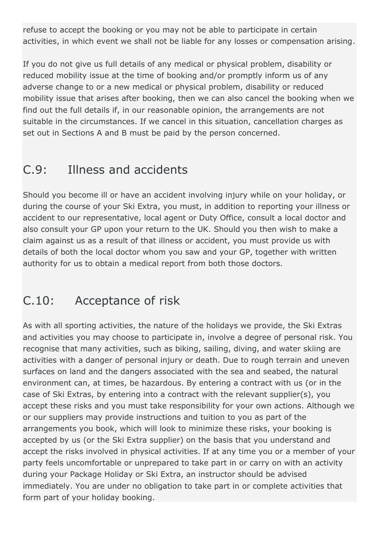refuse to accept the booking or you may not be able to participate in certain activities, in which event we shall not be liable for any losses or compensation arising.

If you do not give us full details of any medical or physical problem, disability or reduced mobility issue at the time of booking and/or promptly inform us of any adverse change to or a new medical or physical problem, disability or reduced mobility issue that arises after booking, then we can also cancel the booking when we find out the full details if, in our reasonable opinion, the arrangements are not suitable in the circumstances. If we cancel in this situation, cancellation charges as set out in Sections A and B must be paid by the person concerned.

## C.9: Illness and accidents

Should you become ill or have an accident involving injury while on your holiday, or during the course of your Ski Extra, you must, in addition to reporting your illness or accident to our representative, local agent or Duty Office, consult a local doctor and also consult your GP upon your return to the UK. Should you then wish to make a claim against us as a result of that illness or accident, you must provide us with details of both the local doctor whom you saw and your GP, together with written authority for us to obtain a medical report from both those doctors.

### C.10: Acceptance of risk

As with all sporting activities, the nature of the holidays we provide, the Ski Extras and activities you may choose to participate in, involve a degree of personal risk. You recognise that many activities, such as biking, sailing, diving, and water skiing are activities with a danger of personal injury or death. Due to rough terrain and uneven surfaces on land and the dangers associated with the sea and seabed, the natural environment can, at times, be hazardous. By entering a contract with us (or in the case of Ski Extras, by entering into a contract with the relevant supplier(s), you accept these risks and you must take responsibility for your own actions. Although we or our suppliers may provide instructions and tuition to you as part of the arrangements you book, which will look to minimize these risks, your booking is accepted by us (or the Ski Extra supplier) on the basis that you understand and accept the risks involved in physical activities. If at any time you or a member of your party feels uncomfortable or unprepared to take part in or carry on with an activity during your Package Holiday or Ski Extra, an instructor should be advised immediately. You are under no obligation to take part in or complete activities that form part of your holiday booking.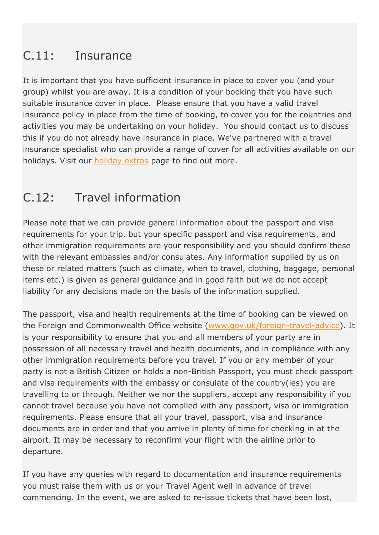# C.11: Insurance

It is important that you have sufficient insurance in place to cover you (and your group) whilst you are away. It is a condition of your booking that you have such suitable insurance cover in place. Please ensure that you have a valid travel insurance policy in place from the time of booking, to cover you for the countries and activities you may be undertaking on your holiday. You should contact us to discuss this if you do not already have insurance in place. We've partnered with a travel insurance specialist who can provide a range of cover for all activities available on our holidays. Visit our [holiday extras](https://www.neilson.co.uk/holiday-extras) page to find out more.

# C.12: Travel information

Please note that we can provide general information about the passport and visa requirements for your trip, but your specific passport and visa requirements, and other immigration requirements are your responsibility and you should confirm these with the relevant embassies and/or consulates. Any information supplied by us on these or related matters (such as climate, when to travel, clothing, baggage, personal items etc.) is given as general guidance and in good faith but we do not accept liability for any decisions made on the basis of the information supplied.

The passport, visa and health requirements at the time of booking can be viewed on the Foreign and Commonwealth Office website [\(www.gov.uk/foreign-travel-advice\)](https://www.gov.uk/foreign-travel-advice). It is your responsibility to ensure that you and all members of your party are in possession of all necessary travel and health documents, and in compliance with any other immigration requirements before you travel. If you or any member of your party is not a British Citizen or holds a non-British Passport, you must check passport and visa requirements with the embassy or consulate of the country(ies) you are travelling to or through. Neither we nor the suppliers, accept any responsibility if you cannot travel because you have not complied with any passport, visa or immigration requirements. Please ensure that all your travel, passport, visa and insurance documents are in order and that you arrive in plenty of time for checking in at the airport. It may be necessary to reconfirm your flight with the airline prior to departure.

If you have any queries with regard to documentation and insurance requirements you must raise them with us or your Travel Agent well in advance of travel commencing. In the event, we are asked to re-issue tickets that have been lost,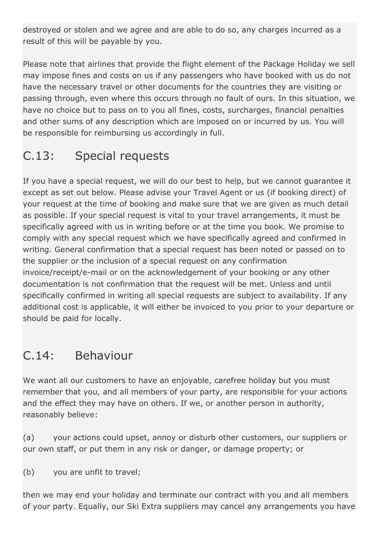destroyed or stolen and we agree and are able to do so, any charges incurred as a result of this will be payable by you.

Please note that airlines that provide the flight element of the Package Holiday we sell may impose fines and costs on us if any passengers who have booked with us do not have the necessary travel or other documents for the countries they are visiting or passing through, even where this occurs through no fault of ours. In this situation, we have no choice but to pass on to you all fines, costs, surcharges, financial penalties and other sums of any description which are imposed on or incurred by us. You will be responsible for reimbursing us accordingly in full.

# C.13: Special requests

If you have a special request, we will do our best to help, but we cannot guarantee it except as set out below. Please advise your Travel Agent or us (if booking direct) of your request at the time of booking and make sure that we are given as much detail as possible. If your special request is vital to your travel arrangements, it must be specifically agreed with us in writing before or at the time you book. We promise to comply with any special request which we have specifically agreed and confirmed in writing. General confirmation that a special request has been noted or passed on to the supplier or the inclusion of a special request on any confirmation invoice/receipt/e-mail or on the acknowledgement of your booking or any other documentation is not confirmation that the request will be met. Unless and until specifically confirmed in writing all special requests are subject to availability. If any additional cost is applicable, it will either be invoiced to you prior to your departure or should be paid for locally.

### C.14: Behaviour

We want all our customers to have an enjoyable, carefree holiday but you must remember that you, and all members of your party, are responsible for your actions and the effect they may have on others. If we, or another person in authority, reasonably believe:

(a) your actions could upset, annoy or disturb other customers, our suppliers or our own staff, or put them in any risk or danger, or damage property; or

(b) you are unfit to travel;

then we may end your holiday and terminate our contract with you and all members of your party. Equally, our Ski Extra suppliers may cancel any arrangements you have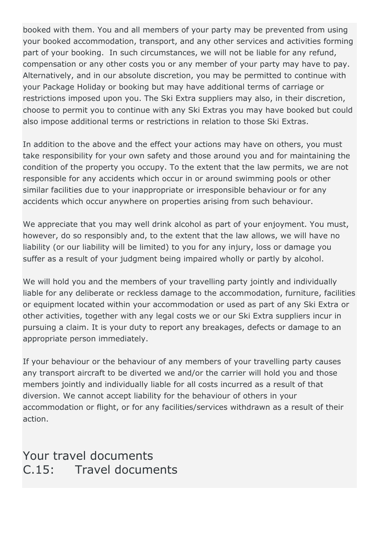booked with them. You and all members of your party may be prevented from using your booked accommodation, transport, and any other services and activities forming part of your booking. In such circumstances, we will not be liable for any refund, compensation or any other costs you or any member of your party may have to pay. Alternatively, and in our absolute discretion, you may be permitted to continue with your Package Holiday or booking but may have additional terms of carriage or restrictions imposed upon you. The Ski Extra suppliers may also, in their discretion, choose to permit you to continue with any Ski Extras you may have booked but could also impose additional terms or restrictions in relation to those Ski Extras.

In addition to the above and the effect your actions may have on others, you must take responsibility for your own safety and those around you and for maintaining the condition of the property you occupy. To the extent that the law permits, we are not responsible for any accidents which occur in or around swimming pools or other similar facilities due to your inappropriate or irresponsible behaviour or for any accidents which occur anywhere on properties arising from such behaviour.

We appreciate that you may well drink alcohol as part of your enjoyment. You must, however, do so responsibly and, to the extent that the law allows, we will have no liability (or our liability will be limited) to you for any injury, loss or damage you suffer as a result of your judgment being impaired wholly or partly by alcohol.

We will hold you and the members of your travelling party jointly and individually liable for any deliberate or reckless damage to the accommodation, furniture, facilities or equipment located within your accommodation or used as part of any Ski Extra or other activities, together with any legal costs we or our Ski Extra suppliers incur in pursuing a claim. It is your duty to report any breakages, defects or damage to an appropriate person immediately.

If your behaviour or the behaviour of any members of your travelling party causes any transport aircraft to be diverted we and/or the carrier will hold you and those members jointly and individually liable for all costs incurred as a result of that diversion. We cannot accept liability for the behaviour of others in your accommodation or flight, or for any facilities/services withdrawn as a result of their action.

### Your travel documents C.15: Travel documents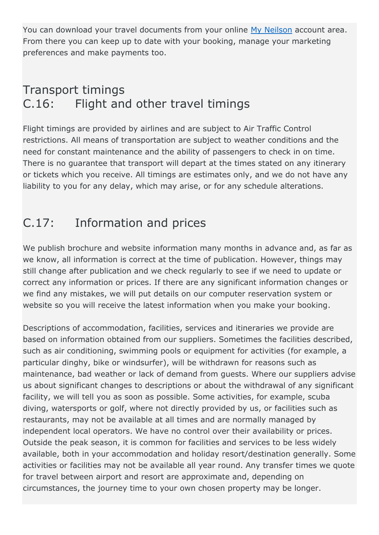You can download your travel documents from your online [My Neilson](https://my.neilson.co.uk/register) account area. From there you can keep up to date with your booking, manage your marketing preferences and make payments too.

### Transport timings C.16: Flight and other travel timings

Flight timings are provided by airlines and are subject to Air Traffic Control restrictions. All means of transportation are subject to weather conditions and the need for constant maintenance and the ability of passengers to check in on time. There is no guarantee that transport will depart at the times stated on any itinerary or tickets which you receive. All timings are estimates only, and we do not have any liability to you for any delay, which may arise, or for any schedule alterations.

## C.17: Information and prices

We publish brochure and website information many months in advance and, as far as we know, all information is correct at the time of publication. However, things may still change after publication and we check regularly to see if we need to update or correct any information or prices. If there are any significant information changes or we find any mistakes, we will put details on our computer reservation system or website so you will receive the latest information when you make your booking.

Descriptions of accommodation, facilities, services and itineraries we provide are based on information obtained from our suppliers. Sometimes the facilities described, such as air conditioning, swimming pools or equipment for activities (for example, a particular dinghy, bike or windsurfer), will be withdrawn for reasons such as maintenance, bad weather or lack of demand from guests. Where our suppliers advise us about significant changes to descriptions or about the withdrawal of any significant facility, we will tell you as soon as possible. Some activities, for example, scuba diving, watersports or golf, where not directly provided by us, or facilities such as restaurants, may not be available at all times and are normally managed by independent local operators. We have no control over their availability or prices. Outside the peak season, it is common for facilities and services to be less widely available, both in your accommodation and holiday resort/destination generally. Some activities or facilities may not be available all year round. Any transfer times we quote for travel between airport and resort are approximate and, depending on circumstances, the journey time to your own chosen property may be longer.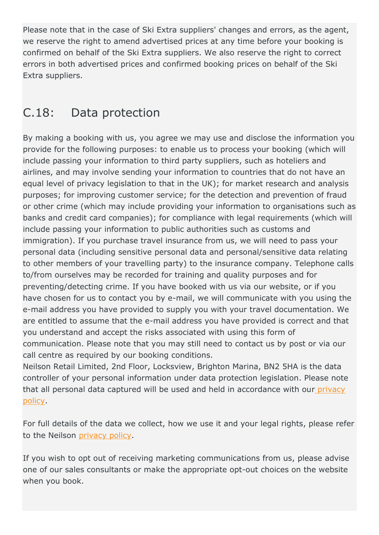Please note that in the case of Ski Extra suppliers' changes and errors, as the agent, we reserve the right to amend advertised prices at any time before your booking is confirmed on behalf of the Ski Extra suppliers. We also reserve the right to correct errors in both advertised prices and confirmed booking prices on behalf of the Ski Extra suppliers.

### C.18: Data protection

By making a booking with us, you agree we may use and disclose the information you provide for the following purposes: to enable us to process your booking (which will include passing your information to third party suppliers, such as hoteliers and airlines, and may involve sending your information to countries that do not have an equal level of privacy legislation to that in the UK); for market research and analysis purposes; for improving customer service; for the detection and prevention of fraud or other crime (which may include providing your information to organisations such as banks and credit card companies); for compliance with legal requirements (which will include passing your information to public authorities such as customs and immigration). If you purchase travel insurance from us, we will need to pass your personal data (including sensitive personal data and personal/sensitive data relating to other members of your travelling party) to the insurance company. Telephone calls to/from ourselves may be recorded for training and quality purposes and for preventing/detecting crime. If you have booked with us via our website, or if you have chosen for us to contact you by e-mail, we will communicate with you using the e-mail address you have provided to supply you with your travel documentation. We are entitled to assume that the e-mail address you have provided is correct and that you understand and accept the risks associated with using this form of communication. Please note that you may still need to contact us by post or via our call centre as required by our booking conditions.

Neilson Retail Limited, 2nd Floor, Locksview, Brighton Marina, BN2 5HA is the data controller of your personal information under data protection legislation. Please note that all personal data captured will be used and held in accordance with our [privacy](https://www.neilson.co.uk/privacy-policy)  [policy.](https://www.neilson.co.uk/privacy-policy)

For full details of the data we collect, how we use it and your legal rights, please refer to the Neilson [privacy policy.](https://www.neilson.co.uk/privacy-policy)

If you wish to opt out of receiving marketing communications from us, please advise one of our sales consultants or make the appropriate opt-out choices on the website when you book.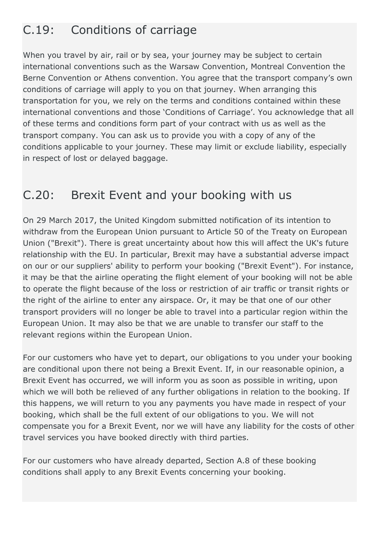# C.19: Conditions of carriage

When you travel by air, rail or by sea, your journey may be subject to certain international conventions such as the Warsaw Convention, Montreal Convention the Berne Convention or Athens convention. You agree that the transport company's own conditions of carriage will apply to you on that journey. When arranging this transportation for you, we rely on the terms and conditions contained within these international conventions and those 'Conditions of Carriage'. You acknowledge that all of these terms and conditions form part of your contract with us as well as the transport company. You can ask us to provide you with a copy of any of the conditions applicable to your journey. These may limit or exclude liability, especially in respect of lost or delayed baggage.

### C.20: Brexit Event and your booking with us

On 29 March 2017, the United Kingdom submitted notification of its intention to withdraw from the European Union pursuant to Article 50 of the Treaty on European Union ("Brexit"). There is great uncertainty about how this will affect the UK's future relationship with the EU. In particular, Brexit may have a substantial adverse impact on our or our suppliers' ability to perform your booking ("Brexit Event"). For instance, it may be that the airline operating the flight element of your booking will not be able to operate the flight because of the loss or restriction of air traffic or transit rights or the right of the airline to enter any airspace. Or, it may be that one of our other transport providers will no longer be able to travel into a particular region within the European Union. It may also be that we are unable to transfer our staff to the relevant regions within the European Union.

For our customers who have yet to depart, our obligations to you under your booking are conditional upon there not being a Brexit Event. If, in our reasonable opinion, a Brexit Event has occurred, we will inform you as soon as possible in writing, upon which we will both be relieved of any further obligations in relation to the booking. If this happens, we will return to you any payments you have made in respect of your booking, which shall be the full extent of our obligations to you. We will not compensate you for a Brexit Event, nor we will have any liability for the costs of other travel services you have booked directly with third parties.

For our customers who have already departed, Section A.8 of these booking conditions shall apply to any Brexit Events concerning your booking.